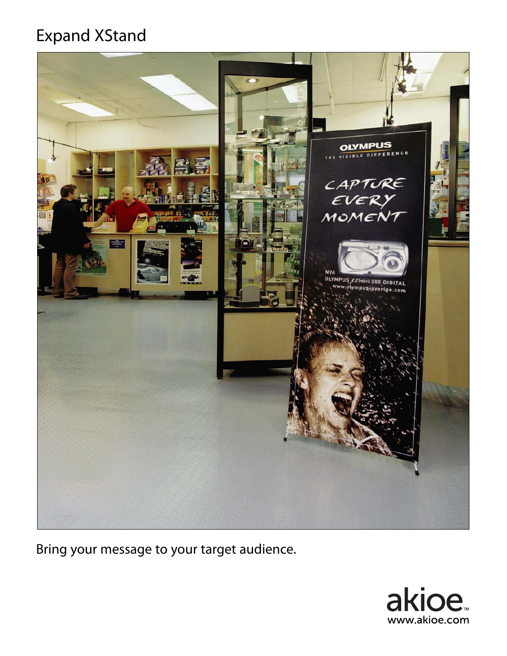## Expand XStand



Bring your message to your target audience.